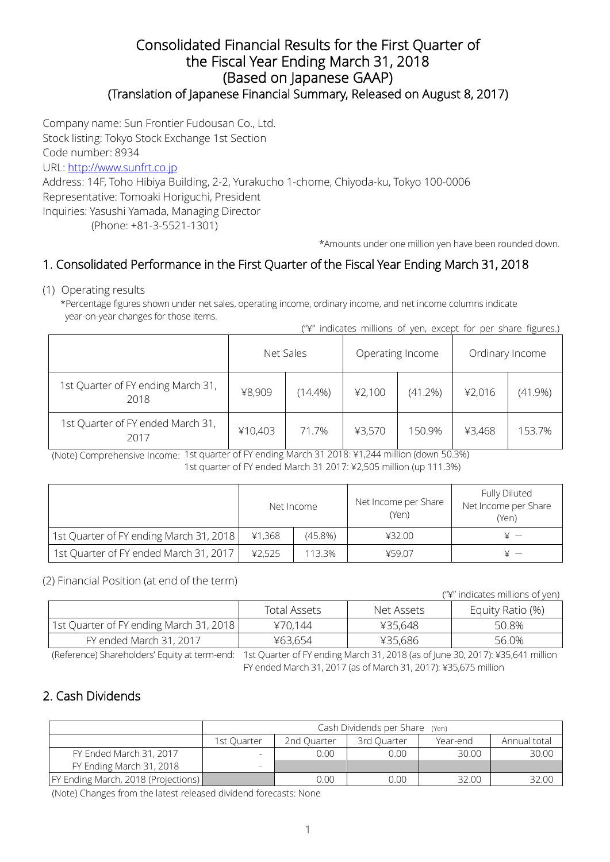#### Consolidated Financial Results for the First Quarter of the Fiscal Year Ending March 31, 2018 (Based on Japanese GAAP) (Translation of Japanese Financial Summary, Released on August 8, 2017)

Company name: Sun Frontier Fudousan Co., Ltd. Stock listing: Tokyo Stock Exchange 1st Section Code number: 8934 URL: [http://www.sunfrt.co.jp](http://www.sunfrt.co.jp/) Address: 14F, Toho Hibiya Building, 2-2, Yurakucho 1-chome, Chiyoda-ku, Tokyo 100-0006 Representative: Tomoaki Horiguchi, President Inquiries: Yasushi Yamada, Managing Director (Phone: +81-3-5521-1301)

\*Amounts under one million yen have been rounded down.

## 1. Consolidated Performance in the First Quarter of the Fiscal Year Ending March 31, 2018

(1) Operating results

\*Percentage figures shown under net sales, operating income, ordinary income, and net income columns indicate year-on-year changes for those items.

| ("\" indicates millions of yen, except for per share figures.) |  |  |  |  |  |
|----------------------------------------------------------------|--|--|--|--|--|
|                                                                |  |  |  |  |  |

|                                            | Net Sales |            |        | Operating Income | Ordinary Income |            |
|--------------------------------------------|-----------|------------|--------|------------------|-----------------|------------|
| 1st Quarter of FY ending March 31,<br>2018 | ¥8,909    | $(14.4\%)$ | 42,100 | (41.2%)          | ¥2,016          | $(41.9\%)$ |
| 1st Quarter of FY ended March 31,<br>2017  | ¥10,403   | 71.7%      | ¥3,570 | 150.9%           | ¥3,468          | 153.7%     |

(Note) Comprehensive Income: 1st quarter of FY ending March 31 2018: ¥1,244 million (down 50.3%) 1st quarter of FY ended March 31 2017: ¥2,505 million (up 111.3%)

|                                         | Net Income |            | Net Income per Share<br>(Yen) | Fully Diluted<br>Net Income per Share<br>(Yen) |  |
|-----------------------------------------|------------|------------|-------------------------------|------------------------------------------------|--|
| 1st Quarter of FY ending March 31, 2018 | ¥1,368     | $(45.8\%)$ | ¥32.00                        |                                                |  |
| 1st Quarter of FY ended March 31, 2017  | 42,525     | 113.3%     | ¥59.07                        |                                                |  |

(2) Financial Position (at end of the term)

("¥" indicates millions of yen)

|                                         | Total Assets | Net Assets | Equity Ratio (%) |
|-----------------------------------------|--------------|------------|------------------|
| 1st Quarter of FY ending March 31, 2018 | ¥70.144      | ¥35,648    | 50.8%            |
| FY ended March 31, 2017                 | ¥63,654      | ¥35,686    | 56.0%            |

(Reference) Shareholders' Equity at term-end: 1st Quarter of FY ending March 31, 2018 (as of June 30, 2017): ¥35,641 million FY ended March 31, 2017 (as of March 31, 2017): ¥35,675 million

## 2. Cash Dividends

|                                     | Cash Dividends per Share (Yen)                        |      |      |       |       |  |  |
|-------------------------------------|-------------------------------------------------------|------|------|-------|-------|--|--|
|                                     | 2nd Quarter<br>3rd Quarter<br>1st Ouarter<br>Year-end |      |      |       |       |  |  |
| FY Ended March 31, 2017             |                                                       | 0.00 | 0.00 | 30.00 | 30.00 |  |  |
| FY Ending March 31, 2018            |                                                       |      |      |       |       |  |  |
| FY Ending March, 2018 (Projections) |                                                       | 0.00 | 0.00 | 32.00 | 32.00 |  |  |

(Note) Changes from the latest released dividend forecasts: None